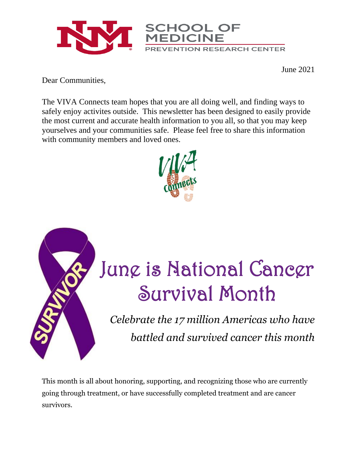

June 2021

Dear Communities,

The VIVA Connects team hopes that you are all doing well, and finding ways to safely enjoy activites outside. This newsletter has been designed to easily provide the most current and accurate health information to you all, so that you may keep yourselves and your communities safe. Please feel free to share this information with community members and loved ones.





# June is National Cancer Survival Month

*Celebrate the 17 million Americas who have battled and survived cancer this month*

This month is all about honoring, supporting, and recognizing those who are currently going through treatment, or have successfully completed treatment and are cancer survivors.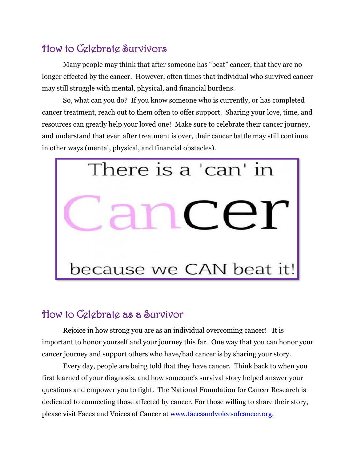### How to Celebrate Survivors

Many people may think that after someone has "beat" cancer, that they are no longer effected by the cancer. However, often times that individual who survived cancer may still struggle with mental, physical, and financial burdens.

So, what can you do? If you know someone who is currently, or has completed cancer treatment, reach out to them often to offer support. Sharing your love, time, and resources can greatly help your loved one! Make sure to celebrate their cancer journey, and understand that even after treatment is over, their cancer battle may still continue in other ways (mental, physical, and financial obstacles).



#### How to Celebrate as a Survivor

Rejoice in how strong you are as an individual overcoming cancer! It is important to honor yourself and your journey this far. One way that you can honor your cancer journey and support others who have/had cancer is by sharing your story.

Every day, people are being told that they have cancer. Think back to when you first learned of your diagnosis, and how someone's survival story helped answer your questions and empower you to fight. The National Foundation for Cancer Research is dedicated to connecting those affected by cancer. For those willing to share their story, please visit Faces and Voices of Cancer at [www.facesandvoicesofcancer.org.](http://www.facesandvoicesofcancer.org/)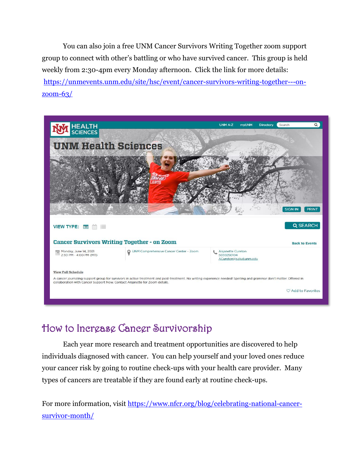You can also join a free UNM Cancer Survivors Writing Together zoom support group to connect with other's battling or who have survived cancer. This group is held weekly from 2:30-4pm every Monday afternoon. Click the link for more details: [https://unmevents.unm.edu/site/hsc/event/cancer-survivors-writing-together---on](https://unmevents.unm.edu/site/hsc/event/cancer-survivors-writing-together---on-zoom-63/)[zoom-63/](https://unmevents.unm.edu/site/hsc/event/cancer-survivors-writing-together---on-zoom-63/)



## How to Increase Cancer Survivorship

Each year more research and treatment opportunities are discovered to help individuals diagnosed with cancer. You can help yourself and your loved ones reduce your cancer risk by going to routine check-ups with your health care provider. Many types of cancers are treatable if they are found early at routine check-ups.

For more information, visit [https://www.nfcr.org/blog/celebrating-national-cancer](https://www.nfcr.org/blog/celebrating-national-cancer-survivor-month/)[survivor-month/](https://www.nfcr.org/blog/celebrating-national-cancer-survivor-month/)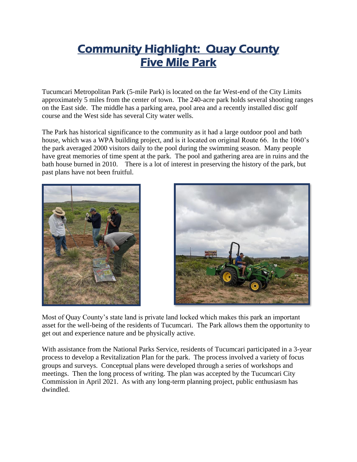# Community Highlight: Quay County Five Mile Park

Tucumcari Metropolitan Park (5-mile Park) is located on the far West-end of the City Limits approximately 5 miles from the center of town. The 240-acre park holds several shooting ranges on the East side. The middle has a parking area, pool area and a recently installed disc golf course and the West side has several City water wells.

The Park has historical significance to the community as it had a large outdoor pool and bath house, which was a WPA building project, and is it located on original Route 66. In the 1060's the park averaged 2000 visitors daily to the pool during the swimming season. Many people have great memories of time spent at the park. The pool and gathering area are in ruins and the bath house burned in 2010. There is a lot of interest in preserving the history of the park, but past plans have not been fruitful.





Most of Quay County's state land is private land locked which makes this park an important asset for the well-being of the residents of Tucumcari. The Park allows them the opportunity to get out and experience nature and be physically active.

With assistance from the National Parks Service, residents of Tucumcari participated in a 3-year process to develop a Revitalization Plan for the park. The process involved a variety of focus groups and surveys. Conceptual plans were developed through a series of workshops and meetings. Then the long process of writing. The plan was accepted by the Tucumcari City Commission in April 2021. As with any long-term planning project, public enthusiasm has dwindled.